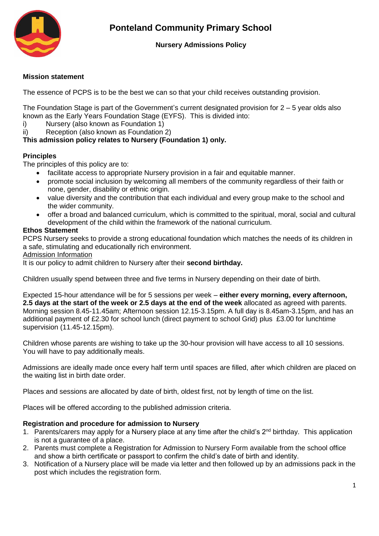

# **Nursery Admissions Policy**

## **Mission statement**

The essence of PCPS is to be the best we can so that your child receives outstanding provision.

The Foundation Stage is part of the Government's current designated provision for 2 – 5 year olds also known as the Early Years Foundation Stage (EYFS). This is divided into:

- i) Nursery (also known as Foundation 1)
- ii) Reception (also known as Foundation 2)

# **This admission policy relates to Nursery (Foundation 1) only.**

# **Principles**

The principles of this policy are to:

- facilitate access to appropriate Nursery provision in a fair and equitable manner.
- promote social inclusion by welcoming all members of the community regardless of their faith or none, gender, disability or ethnic origin.
- value diversity and the contribution that each individual and every group make to the school and the wider community.
- offer a broad and balanced curriculum, which is committed to the spiritual, moral, social and cultural development of the child within the framework of the national curriculum.

# **Ethos Statement**

PCPS Nursery seeks to provide a strong educational foundation which matches the needs of its children in a safe, stimulating and educationally rich environment.

#### Admission Information

It is our policy to admit children to Nursery after their **second birthday.**

Children usually spend between three and five terms in Nursery depending on their date of birth.

Expected 15-hour attendance will be for 5 sessions per week – **either every morning, every afternoon, 2.5 days at the start of the week or 2.5 days at the end of the week** allocated as agreed with parents. Morning session 8.45-11.45am; Afternoon session 12.15-3.15pm. A full day is 8.45am-3.15pm, and has an additional payment of £2.30 for school lunch (direct payment to school Grid) plus £3.00 for lunchtime supervision (11.45-12.15pm).

Children whose parents are wishing to take up the 30-hour provision will have access to all 10 sessions. You will have to pay additionally meals.

Admissions are ideally made once every half term until spaces are filled, after which children are placed on the waiting list in birth date order.

Places and sessions are allocated by date of birth, oldest first, not by length of time on the list.

Places will be offered according to the published admission criteria.

### **Registration and procedure for admission to Nursery**

- 1. Parents/carers may apply for a Nursery place at any time after the child's  $2^{nd}$  birthday. This application is not a guarantee of a place.
- 2. Parents must complete a Registration for Admission to Nursery Form available from the school office and show a birth certificate or passport to confirm the child's date of birth and identity.
- 3. Notification of a Nursery place will be made via letter and then followed up by an admissions pack in the post which includes the registration form.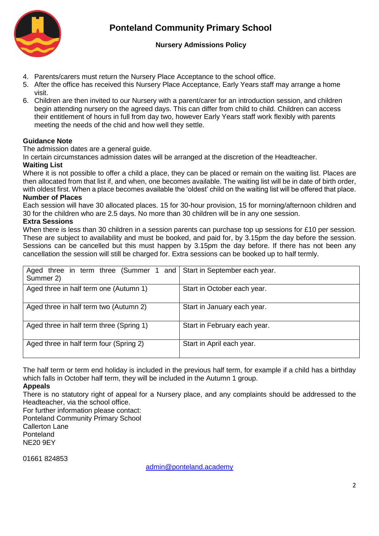

## **Nursery Admissions Policy**

- 4. Parents/carers must return the Nursery Place Acceptance to the school office.
- 5. After the office has received this Nursery Place Acceptance, Early Years staff may arrange a home visit.
- 6. Children are then invited to our Nursery with a parent/carer for an introduction session, and children begin attending nursery on the agreed days. This can differ from child to child. Children can access their entitlement of hours in full from day two, however Early Years staff work flexibly with parents meeting the needs of the chid and how well they settle.

# **Guidance Note**

The admission dates are a general guide.

In certain circumstances admission dates will be arranged at the discretion of the Headteacher.

# **Waiting List**

Where it is not possible to offer a child a place, they can be placed or remain on the waiting list. Places are then allocated from that list if, and when, one becomes available. The waiting list will be in date of birth order, with oldest first. When a place becomes available the 'oldest' child on the waiting list will be offered that place. **Number of Places**

Each session will have 30 allocated places. 15 for 30-hour provision, 15 for morning/afternoon children and 30 for the children who are 2.5 days. No more than 30 children will be in any one session.

#### **Extra Sessions**

When there is less than 30 children in a session parents can purchase top up sessions for £10 per session. These are subject to availability and must be booked, and paid for, by 3.15pm the day before the session. Sessions can be cancelled but this must happen by 3.15pm the day before. If there has not been any cancellation the session will still be charged for. Extra sessions can be booked up to half termly.

| Aged three in term three (Summer 1 and Start in September each year.<br>Summer 2) |                              |
|-----------------------------------------------------------------------------------|------------------------------|
| Aged three in half term one (Autumn 1)                                            | Start in October each year.  |
| Aged three in half term two (Autumn 2)                                            | Start in January each year.  |
| Aged three in half term three (Spring 1)                                          | Start in February each year. |
| Aged three in half term four (Spring 2)                                           | Start in April each year.    |

The half term or term end holiday is included in the previous half term, for example if a child has a birthday which falls in October half term, they will be included in the Autumn 1 group.

### **Appeals**

There is no statutory right of appeal for a Nursery place, and any complaints should be addressed to the Headteacher, via the school office.

For further information please contact:

Ponteland Community Primary School Callerton Lane Ponteland NE20 9EY

01661 824853

[admin@ponteland.academy](mailto:admin@ponteland.academy)